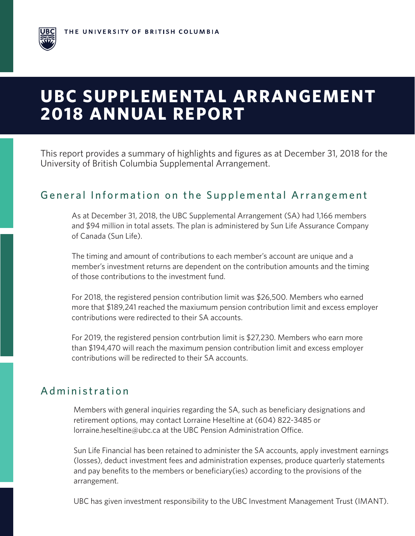# **UBC SUPPLEMENTAL ARRANGEMENT 2018 ANNUAL REPORT**

This report provides a summary of highlights and figures as at December 31, 2018 for the University of British Columbia Supplemental Arrangement.

### General Information on the Supplemental Arrangement

As at December 31, 2018, the UBC Supplemental Arrangement (SA) had 1,166 members and \$94 million in total assets. The plan is administered by Sun Life Assurance Company of Canada (Sun Life).

The timing and amount of contributions to each member's account are unique and a member's investment returns are dependent on the contribution amounts and the timing of those contributions to the investment fund.

For 2018, the registered pension contribution limit was \$26,500. Members who earned more that \$189,241 reached the maxiumum pension contribution limit and excess employer contributions were redirected to their SA accounts.

For 2019, the registered pension contrbution limit is \$27,230. Members who earn more than \$194,470 will reach the maximum pension contribution limit and excess employer contributions will be redirected to their SA accounts.

## Administration

Members with general inquiries regarding the SA, such as beneficiary designations and retirement options, may contact Lorraine Heseltine at (604) 822-3485 or lorraine.heseltine@ubc.ca at the UBC Pension Administration Office.

Sun Life Financial has been retained to administer the SA accounts, apply investment earnings (losses), deduct investment fees and administration expenses, produce quarterly statements and pay benefits to the members or beneficiary(ies) according to the provisions of the arrangement.

UBC has given investment responsibility to the UBC Investment Management Trust (IMANT).